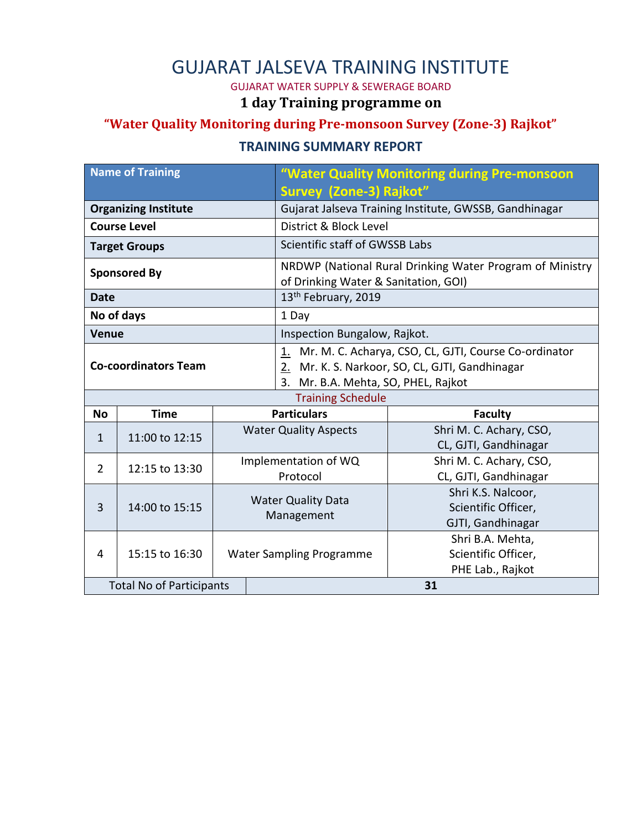## GUJARAT JALSEVA TRAINING INSTITUTE

GUJARAT WATER SUPPLY & SEWERAGE BOARD

#### **1 day Training programme on**

### **"Water Quality Monitoring during Pre-monsoon Survey (Zone-3) Rajkot"**

#### **TRAINING SUMMARY REPORT**

| <b>Name of Training</b>         |                |                                         |                              | "Water Quality Monitoring during Pre-monsoon                |                         |
|---------------------------------|----------------|-----------------------------------------|------------------------------|-------------------------------------------------------------|-------------------------|
|                                 |                |                                         |                              | Survey (Zone-3) Rajkot"                                     |                         |
| <b>Organizing Institute</b>     |                |                                         |                              | Gujarat Jalseva Training Institute, GWSSB, Gandhinagar      |                         |
| <b>Course Level</b>             |                |                                         |                              | District & Block Level                                      |                         |
| <b>Target Groups</b>            |                |                                         |                              | Scientific staff of GWSSB Labs                              |                         |
| <b>Sponsored By</b>             |                |                                         |                              | NRDWP (National Rural Drinking Water Program of Ministry    |                         |
|                                 |                |                                         |                              | of Drinking Water & Sanitation, GOI)                        |                         |
| Date                            |                |                                         |                              | 13 <sup>th</sup> February, 2019                             |                         |
| No of days                      |                |                                         |                              | 1 Day                                                       |                         |
| <b>Venue</b>                    |                |                                         |                              | Inspection Bungalow, Rajkot.                                |                         |
| <b>Co-coordinators Team</b>     |                |                                         |                              | Mr. M. C. Acharya, CSO, CL, GJTI, Course Co-ordinator<br>1. |                         |
|                                 |                |                                         |                              | Mr. K. S. Narkoor, SO, CL, GJTI, Gandhinagar<br>2.          |                         |
|                                 |                |                                         |                              | 3. Mr. B.A. Mehta, SO, PHEL, Rajkot                         |                         |
|                                 |                |                                         |                              | <b>Training Schedule</b>                                    |                         |
| <b>No</b>                       | <b>Time</b>    |                                         | <b>Particulars</b>           |                                                             | <b>Faculty</b>          |
| $\mathbf{1}$                    | 11:00 to 12:15 |                                         | <b>Water Quality Aspects</b> |                                                             | Shri M. C. Achary, CSO, |
|                                 |                |                                         |                              |                                                             | CL, GJTI, Gandhinagar   |
| $\overline{2}$                  | 12:15 to 13:30 | Implementation of WQ<br>Protocol        |                              |                                                             | Shri M. C. Achary, CSO, |
|                                 |                |                                         |                              |                                                             | CL, GJTI, Gandhinagar   |
| 3                               | 14:00 to 15:15 | <b>Water Quality Data</b><br>Management |                              |                                                             | Shri K.S. Nalcoor,      |
|                                 |                |                                         |                              |                                                             | Scientific Officer,     |
|                                 |                |                                         |                              |                                                             | GJTI, Gandhinagar       |
|                                 | 15:15 to 16:30 |                                         |                              |                                                             | Shri B.A. Mehta,        |
| 4                               |                |                                         |                              | <b>Water Sampling Programme</b>                             | Scientific Officer,     |
|                                 |                |                                         |                              |                                                             | PHE Lab., Rajkot        |
| <b>Total No of Participants</b> |                |                                         |                              |                                                             | 31                      |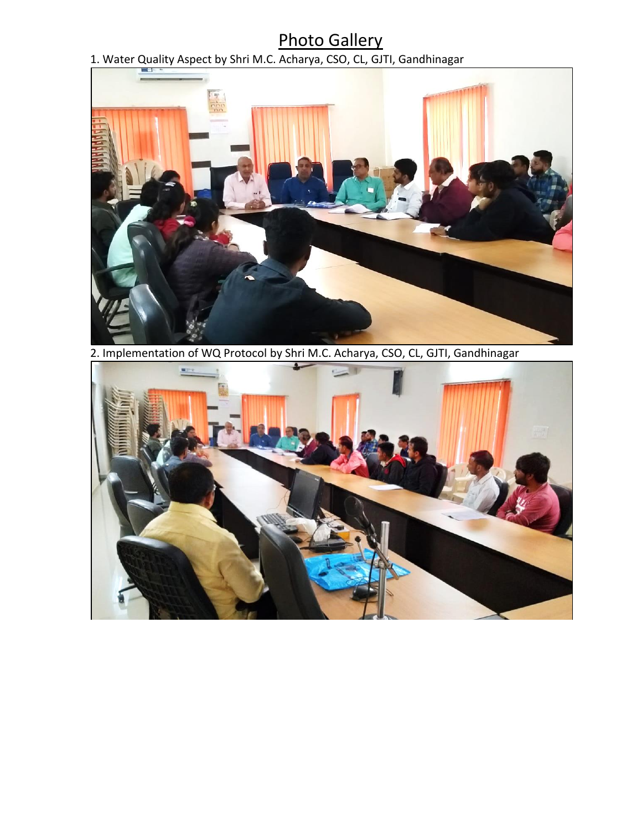# Photo Gallery

#### 1. Water Quality Aspect by Shri M.C. Acharya, CSO, CL, GJTI, Gandhinagar



2. Implementation of WQ Protocol by Shri M.C. Acharya, CSO, CL, GJTI, Gandhinagar

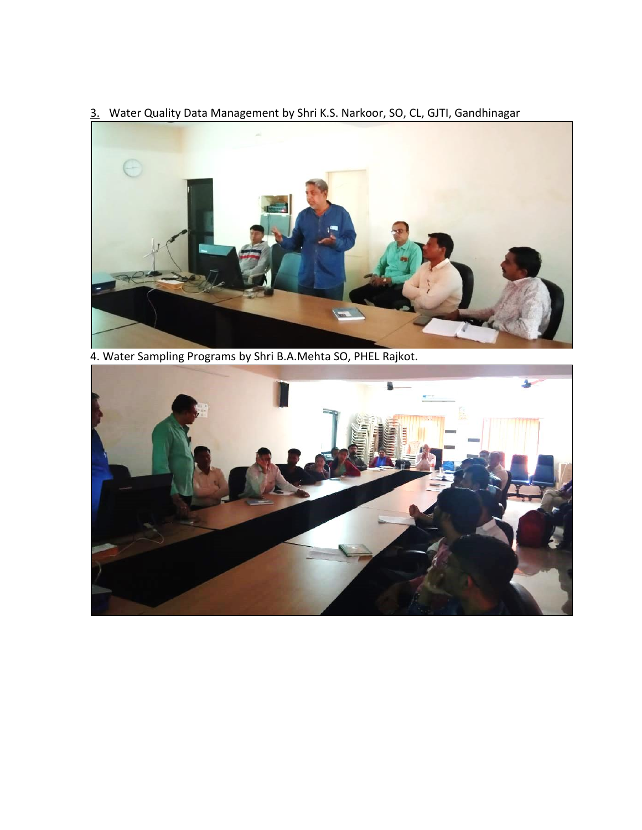3. Water Quality Data Management by Shri K.S. Narkoor, SO, CL, GJTI, Gandhinagar



4. Water Sampling Programs by Shri B.A.Mehta SO, PHEL Rajkot.